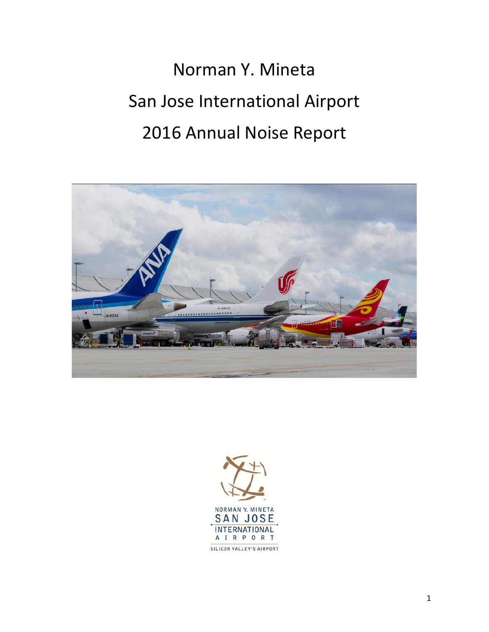# Norman Y. Mineta San Jose International Airport 2016 Annual Noise Report



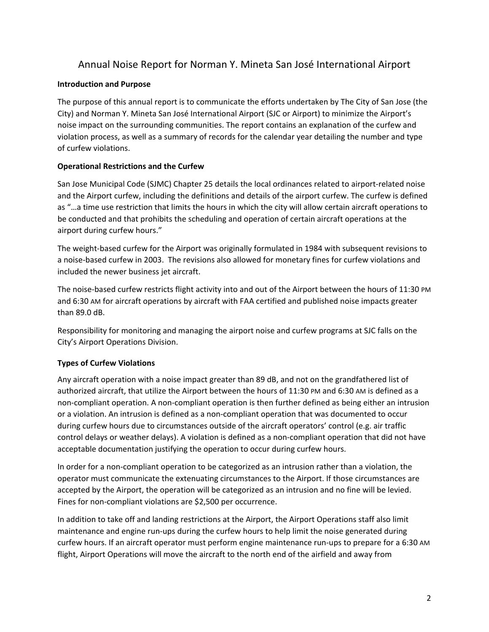# Annual Noise Report for Norman Y. Mineta San José International Airport

# **Introduction and Purpose**

The purpose of this annual report is to communicate the efforts undertaken by The City of San Jose (the City) and Norman Y. Mineta San José International Airport (SJC or Airport) to minimize the Airport's noise impact on the surrounding communities. The report contains an explanation of the curfew and violation process, as well as a summary of records for the calendar year detailing the number and type of curfew violations.

# **Operational Restrictions and the Curfew**

San Jose Municipal Code (SJMC) Chapter 25 details the local ordinances related to airport‐related noise and the Airport curfew, including the definitions and details of the airport curfew. The curfew is defined as "…a time use restriction that limits the hours in which the city will allow certain aircraft operations to be conducted and that prohibits the scheduling and operation of certain aircraft operations at the airport during curfew hours."

The weight‐based curfew for the Airport was originally formulated in 1984 with subsequent revisions to a noise-based curfew in 2003. The revisions also allowed for monetary fines for curfew violations and included the newer business jet aircraft.

The noise-based curfew restricts flight activity into and out of the Airport between the hours of 11:30 PM and 6:30 AM for aircraft operations by aircraft with FAA certified and published noise impacts greater than 89.0 dB.

Responsibility for monitoring and managing the airport noise and curfew programs at SJC falls on the City's Airport Operations Division.

# **Types of Curfew Violations**

Any aircraft operation with a noise impact greater than 89 dB, and not on the grandfathered list of authorized aircraft, that utilize the Airport between the hours of 11:30 PM and 6:30 AM is defined as a non‐compliant operation. A non‐compliant operation is then further defined as being either an intrusion or a violation. An intrusion is defined as a non‐compliant operation that was documented to occur during curfew hours due to circumstances outside of the aircraft operators' control (e.g. air traffic control delays or weather delays). A violation is defined as a non‐compliant operation that did not have acceptable documentation justifying the operation to occur during curfew hours.

In order for a non‐compliant operation to be categorized as an intrusion rather than a violation, the operator must communicate the extenuating circumstances to the Airport. If those circumstances are accepted by the Airport, the operation will be categorized as an intrusion and no fine will be levied. Fines for non-compliant violations are \$2,500 per occurrence.

In addition to take off and landing restrictions at the Airport, the Airport Operations staff also limit maintenance and engine run‐ups during the curfew hours to help limit the noise generated during curfew hours. If an aircraft operator must perform engine maintenance run‐ups to prepare for a 6:30 AM flight, Airport Operations will move the aircraft to the north end of the airfield and away from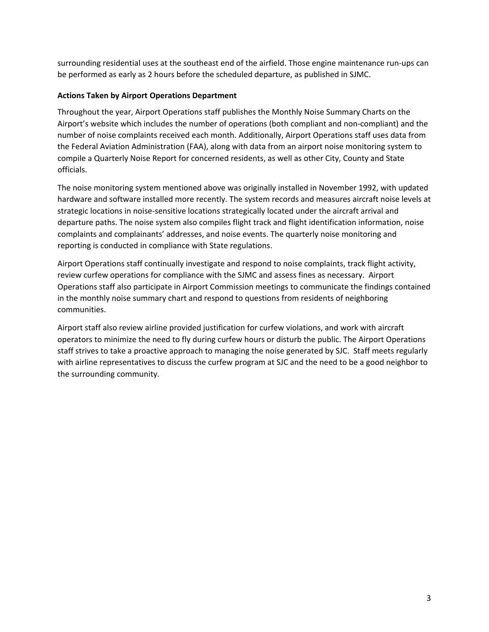surrounding residential uses at the southeast end of the airfield. Those engine maintenance run‐ups can be performed as early as 2 hours before the scheduled departure, as published in SJMC.

# **Actions Taken by Airport Operations Department**

Throughout the year, Airport Operations staff publishes the Monthly Noise Summary Charts on the Airport's website which includes the number of operations (both compliant and non‐compliant) and the number of noise complaints received each month. Additionally, Airport Operations staff uses data from the Federal Aviation Administration (FAA), along with data from an airport noise monitoring system to compile a Quarterly Noise Report for concerned residents, as well as other City, County and State officials.

The noise monitoring system mentioned above was originally installed in November 1992, with updated hardware and software installed more recently. The system records and measures aircraft noise levels at strategic locations in noise‐sensitive locations strategically located under the aircraft arrival and departure paths. The noise system also compiles flight track and flight identification information, noise complaints and complainants' addresses, and noise events. The quarterly noise monitoring and reporting is conducted in compliance with State regulations.

Airport Operations staff continually investigate and respond to noise complaints, track flight activity, review curfew operations for compliance with the SJMC and assess fines as necessary. Airport Operations staff also participate in Airport Commission meetings to communicate the findings contained in the monthly noise summary chart and respond to questions from residents of neighboring communities.

Airport staff also review airline provided justification for curfew violations, and work with aircraft operators to minimize the need to fly during curfew hours or disturb the public. The Airport Operations staff strives to take a proactive approach to managing the noise generated by SJC. Staff meets regularly with airline representatives to discuss the curfew program at SJC and the need to be a good neighbor to the surrounding community.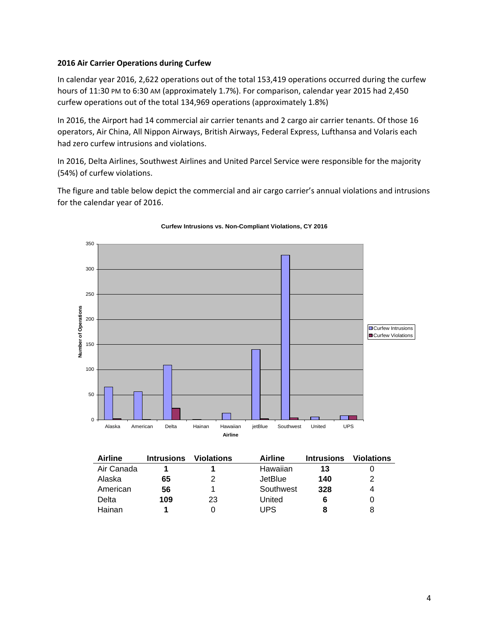### **2016 Air Carrier Operations during Curfew**

In calendar year 2016, 2,622 operations out of the total 153,419 operations occurred during the curfew hours of 11:30 PM to 6:30 AM (approximately 1.7%). For comparison, calendar year 2015 had 2,450 curfew operations out of the total 134,969 operations (approximately 1.8%)

In 2016, the Airport had 14 commercial air carrier tenants and 2 cargo air carrier tenants. Of those 16 operators, Air China, All Nippon Airways, British Airways, Federal Express, Lufthansa and Volaris each had zero curfew intrusions and violations.

In 2016, Delta Airlines, Southwest Airlines and United Parcel Service were responsible for the majority (54%) of curfew violations.

The figure and table below depict the commercial and air cargo carrier's annual violations and intrusions for the calendar year of 2016.



#### **Curfew Intrusions vs. Non-Compliant Violations, CY 2016**

| Airline    | <b>Intrusions</b> | <b>Violations</b> | Airline   | <b>Intrusions</b> | <b>Violations</b> |
|------------|-------------------|-------------------|-----------|-------------------|-------------------|
| Air Canada |                   |                   | Hawaiian  | 13                |                   |
| Alaska     | 65                | 2                 | JetBlue   | 140               |                   |
| American   | 56                |                   | Southwest | 328               |                   |
| Delta      | 109               | 23                | United    |                   |                   |
| Hainan     |                   |                   | UPS       |                   | 8                 |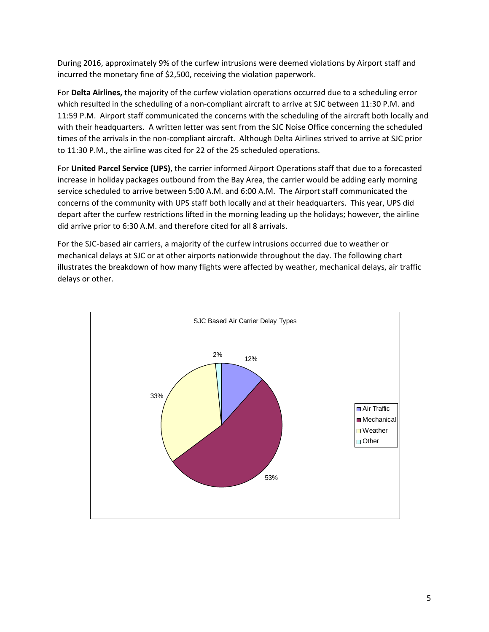During 2016, approximately 9% of the curfew intrusions were deemed violations by Airport staff and incurred the monetary fine of \$2,500, receiving the violation paperwork.

For **Delta Airlines,** the majority of the curfew violation operations occurred due to a scheduling error which resulted in the scheduling of a non-compliant aircraft to arrive at SJC between 11:30 P.M. and 11:59 P.M. Airport staff communicated the concerns with the scheduling of the aircraft both locally and with their headquarters. A written letter was sent from the SJC Noise Office concerning the scheduled times of the arrivals in the non‐compliant aircraft. Although Delta Airlines strived to arrive at SJC prior to 11:30 P.M., the airline was cited for 22 of the 25 scheduled operations.

For **United Parcel Service (UPS)**, the carrier informed Airport Operations staff that due to a forecasted increase in holiday packages outbound from the Bay Area, the carrier would be adding early morning service scheduled to arrive between 5:00 A.M. and 6:00 A.M. The Airport staff communicated the concerns of the community with UPS staff both locally and at their headquarters. This year, UPS did depart after the curfew restrictions lifted in the morning leading up the holidays; however, the airline did arrive prior to 6:30 A.M. and therefore cited for all 8 arrivals.

For the SJC‐based air carriers, a majority of the curfew intrusions occurred due to weather or mechanical delays at SJC or at other airports nationwide throughout the day. The following chart illustrates the breakdown of how many flights were affected by weather, mechanical delays, air traffic delays or other.

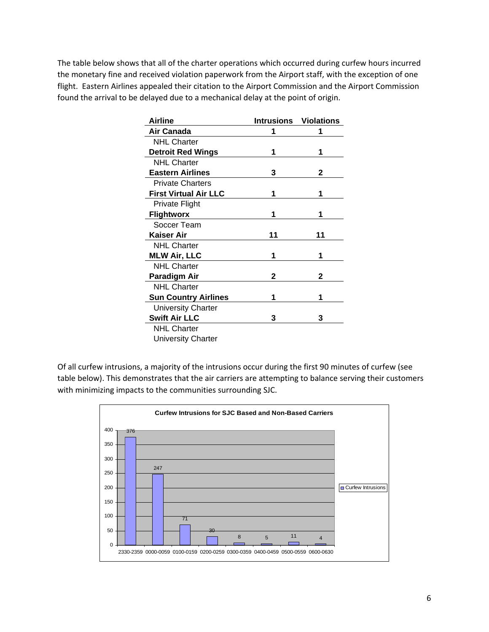The table below shows that all of the charter operations which occurred during curfew hours incurred the monetary fine and received violation paperwork from the Airport staff, with the exception of one flight. Eastern Airlines appealed their citation to the Airport Commission and the Airport Commission found the arrival to be delayed due to a mechanical delay at the point of origin.

| Airline                      |    | <b>Intrusions Violations</b> |
|------------------------------|----|------------------------------|
| Air Canada                   | 1  | 1                            |
| <b>NHL Charter</b>           |    |                              |
| <b>Detroit Red Wings</b>     | 1  | 1                            |
| <b>NHL Charter</b>           |    |                              |
| <b>Eastern Airlines</b>      | 3  | 2                            |
| <b>Private Charters</b>      |    |                              |
| <b>First Virtual Air LLC</b> | 1  | 1                            |
| Private Flight               |    |                              |
| <b>Flightworx</b>            | 1  | 1                            |
| Soccer Team                  |    |                              |
| Kaiser Air                   | 11 | 11                           |
| <b>NHL Charter</b>           |    |                              |
| <b>MLW Air, LLC</b>          | 1  | 1                            |
| <b>NHL Charter</b>           |    |                              |
| <b>Paradigm Air</b>          | 2  | 2                            |
| <b>NHL Charter</b>           |    |                              |
| <b>Sun Country Airlines</b>  | 1  | 1                            |
| <b>University Charter</b>    |    |                              |
| <b>Swift Air LLC</b>         | 3  | 3                            |
| <b>NHL Charter</b>           |    |                              |
| <b>University Charter</b>    |    |                              |

Of all curfew intrusions, a majority of the intrusions occur during the first 90 minutes of curfew (see table below). This demonstrates that the air carriers are attempting to balance serving their customers with minimizing impacts to the communities surrounding SJC.

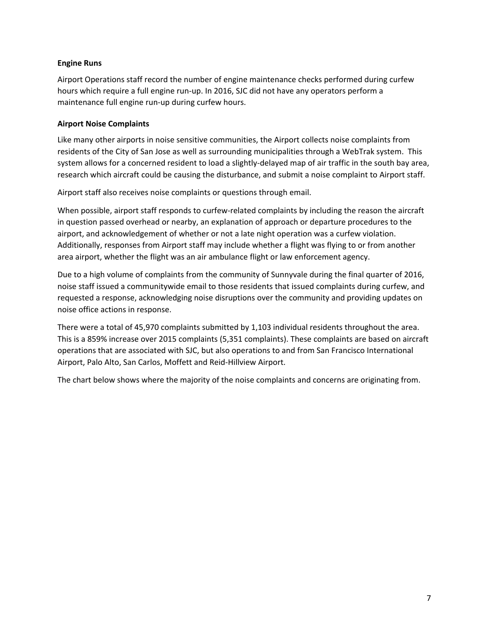## **Engine Runs**

Airport Operations staff record the number of engine maintenance checks performed during curfew hours which require a full engine run-up. In 2016, SJC did not have any operators perform a maintenance full engine run‐up during curfew hours.

# **Airport Noise Complaints**

Like many other airports in noise sensitive communities, the Airport collects noise complaints from residents of the City of San Jose as well as surrounding municipalities through a WebTrak system. This system allows for a concerned resident to load a slightly-delayed map of air traffic in the south bay area, research which aircraft could be causing the disturbance, and submit a noise complaint to Airport staff.

Airport staff also receives noise complaints or questions through email.

When possible, airport staff responds to curfew-related complaints by including the reason the aircraft in question passed overhead or nearby, an explanation of approach or departure procedures to the airport, and acknowledgement of whether or not a late night operation was a curfew violation. Additionally, responses from Airport staff may include whether a flight was flying to or from another area airport, whether the flight was an air ambulance flight or law enforcement agency.

Due to a high volume of complaints from the community of Sunnyvale during the final quarter of 2016, noise staff issued a communitywide email to those residents that issued complaints during curfew, and requested a response, acknowledging noise disruptions over the community and providing updates on noise office actions in response.

There were a total of 45,970 complaints submitted by 1,103 individual residents throughout the area. This is a 859% increase over 2015 complaints (5,351 complaints). These complaints are based on aircraft operations that are associated with SJC, but also operations to and from San Francisco International Airport, Palo Alto, San Carlos, Moffett and Reid‐Hillview Airport.

The chart below shows where the majority of the noise complaints and concerns are originating from.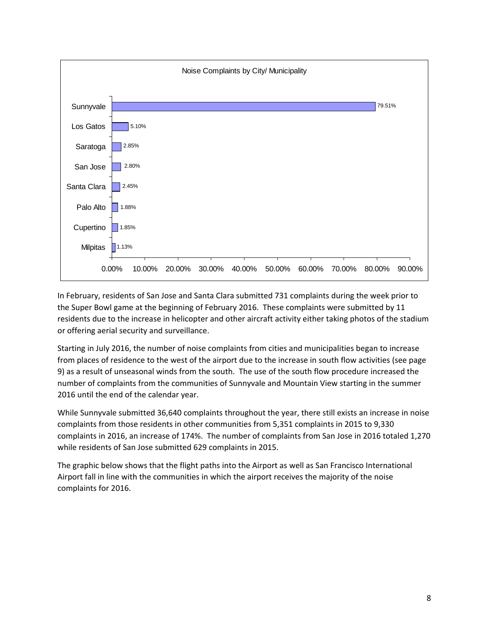

In February, residents of San Jose and Santa Clara submitted 731 complaints during the week prior to the Super Bowl game at the beginning of February 2016. These complaints were submitted by 11 residents due to the increase in helicopter and other aircraft activity either taking photos of the stadium or offering aerial security and surveillance.

Starting in July 2016, the number of noise complaints from cities and municipalities began to increase from places of residence to the west of the airport due to the increase in south flow activities (see page 9) as a result of unseasonal winds from the south. The use of the south flow procedure increased the number of complaints from the communities of Sunnyvale and Mountain View starting in the summer 2016 until the end of the calendar year.

While Sunnyvale submitted 36,640 complaints throughout the year, there still exists an increase in noise complaints from those residents in other communities from 5,351 complaints in 2015 to 9,330 complaints in 2016, an increase of 174%. The number of complaints from San Jose in 2016 totaled 1,270 while residents of San Jose submitted 629 complaints in 2015.

The graphic below shows that the flight paths into the Airport as well as San Francisco International Airport fall in line with the communities in which the airport receives the majority of the noise complaints for 2016.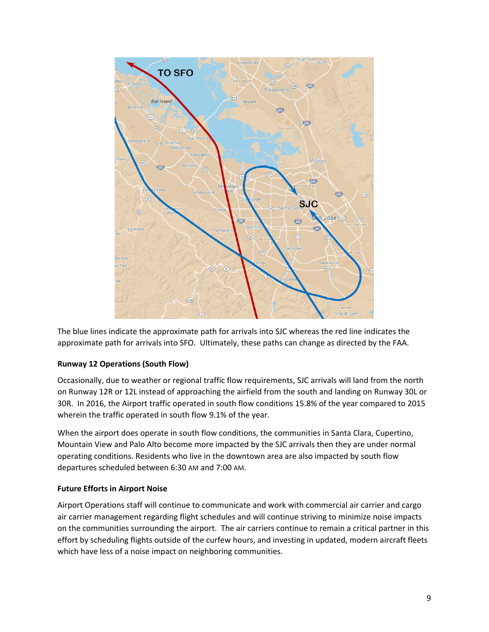

The blue lines indicate the approximate path for arrivals into SJC whereas the red line indicates the approximate path for arrivals into SFO. Ultimately, these paths can change as directed by the FAA.

# **Runway 12 Operations (South Flow)**

Occasionally, due to weather or regional traffic flow requirements, SJC arrivals will land from the north on Runway 12R or 12L instead of approaching the airfield from the south and landing on Runway 30L or 30R. In 2016, the Airport traffic operated in south flow conditions 15.8% of the year compared to 2015 wherein the traffic operated in south flow 9.1% of the year.

When the airport does operate in south flow conditions, the communities in Santa Clara, Cupertino, Mountain View and Palo Alto become more impacted by the SJC arrivals then they are under normal operating conditions. Residents who live in the downtown area are also impacted by south flow departures scheduled between 6:30 AM and 7:00 AM.

# **Future Efforts in Airport Noise**

Airport Operations staff will continue to communicate and work with commercial air carrier and cargo air carrier management regarding flight schedules and will continue striving to minimize noise impacts on the communities surrounding the airport. The air carriers continue to remain a critical partner in this effort by scheduling flights outside of the curfew hours, and investing in updated, modern aircraft fleets which have less of a noise impact on neighboring communities.